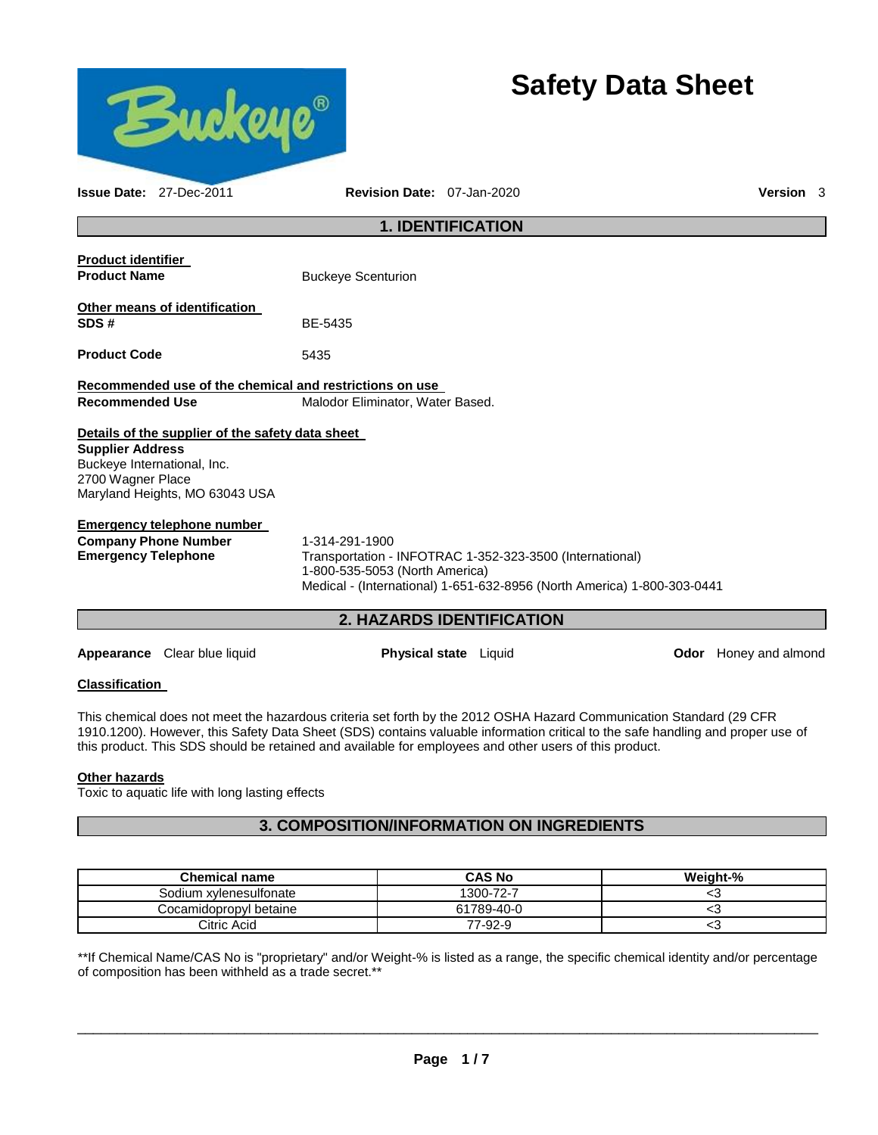

# **Safety Data Sheet**

| <b>Issue Date: 27-Dec-2011</b>                                                                                                                                    | <b>Revision Date: 07-Jan-2020</b>                                                                                                                                                       | <b>Version</b> 3 |  |  |
|-------------------------------------------------------------------------------------------------------------------------------------------------------------------|-----------------------------------------------------------------------------------------------------------------------------------------------------------------------------------------|------------------|--|--|
| <b>1. IDENTIFICATION</b>                                                                                                                                          |                                                                                                                                                                                         |                  |  |  |
| <b>Product identifier</b><br><b>Product Name</b>                                                                                                                  | <b>Buckeye Scenturion</b>                                                                                                                                                               |                  |  |  |
| Other means of identification<br>SDS#                                                                                                                             | BE-5435                                                                                                                                                                                 |                  |  |  |
| <b>Product Code</b>                                                                                                                                               | 5435                                                                                                                                                                                    |                  |  |  |
| Recommended use of the chemical and restrictions on use<br><b>Recommended Use</b><br>Malodor Eliminator, Water Based.                                             |                                                                                                                                                                                         |                  |  |  |
| Details of the supplier of the safety data sheet<br><b>Supplier Address</b><br>Buckeye International, Inc.<br>2700 Wagner Place<br>Maryland Heights, MO 63043 USA |                                                                                                                                                                                         |                  |  |  |
| Emergency telephone number<br><b>Company Phone Number</b><br><b>Emergency Telephone</b>                                                                           | 1-314-291-1900<br>Transportation - INFOTRAC 1-352-323-3500 (International)<br>1-800-535-5053 (North America)<br>Medical - (International) 1-651-632-8956 (North America) 1-800-303-0441 |                  |  |  |
| <b>2. HAZARDS IDENTIFICATION</b>                                                                                                                                  |                                                                                                                                                                                         |                  |  |  |

**Appearance** Clear blue liquid **Physical state** Liquid **Odor** Honey and almond

## **Classification**

This chemical does not meet the hazardous criteria set forth by the 2012 OSHA Hazard Communication Standard (29 CFR 1910.1200). However, this Safety Data Sheet (SDS) contains valuable information critical to the safe handling and proper use of this product. This SDS should be retained and available for employees and other users of this product.

#### **Other hazards**

Toxic to aquatic life with long lasting effects

# **3. COMPOSITION/INFORMATION ON INGREDIENTS**

| <b>Chemical name</b>   | <b>CAS No</b> | Weight-% |
|------------------------|---------------|----------|
| Sodium xylenesulfonate | 1300-72-7     |          |
| Cocamidopropyl betaine | 61789-40-0    | ◡        |
| Citric Acid            | 77-92-9       | ◡        |

\*\*If Chemical Name/CAS No is "proprietary" and/or Weight-% is listed as a range, the specific chemical identity and/or percentage of composition has been withheld as a trade secret.\*\*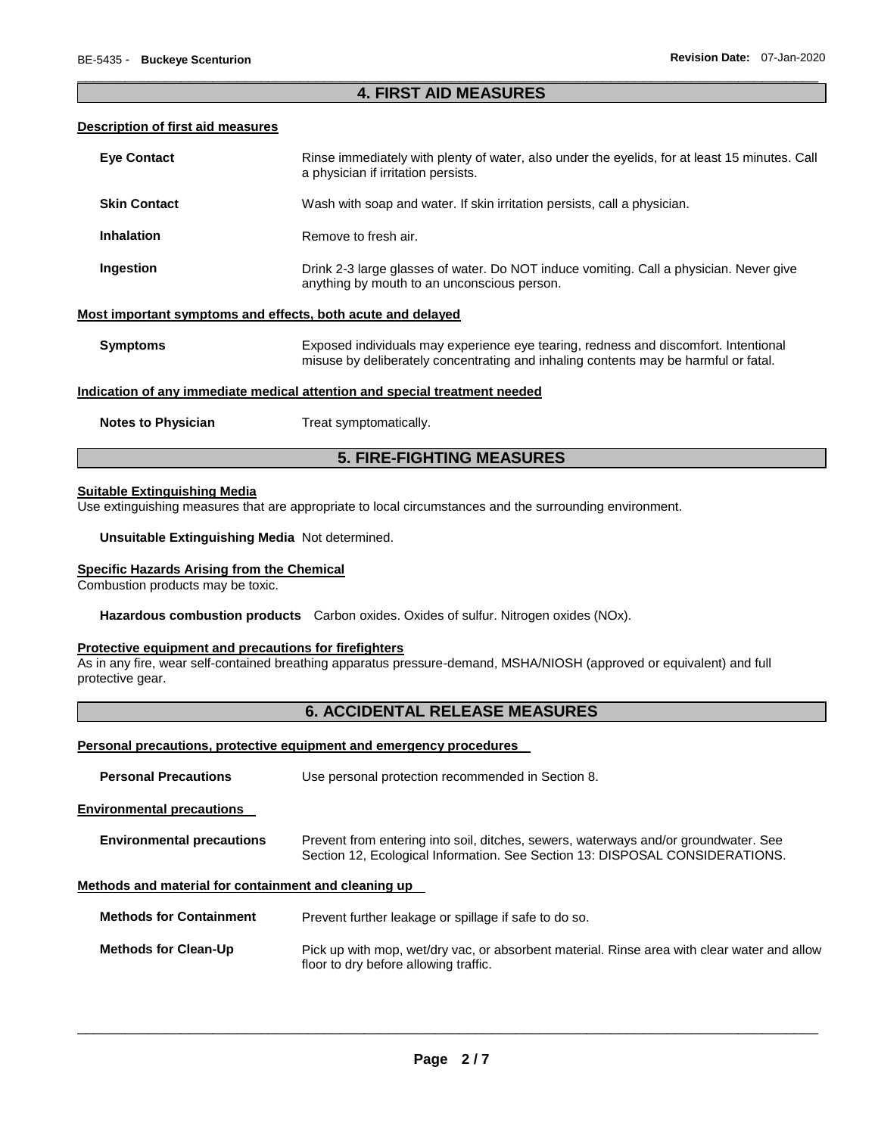### \_\_\_\_\_\_\_\_\_\_\_\_\_\_\_\_\_\_\_\_\_\_\_\_\_\_\_\_\_\_\_\_\_\_\_\_\_\_\_\_\_\_\_\_\_\_\_\_\_\_\_\_\_\_\_\_\_\_\_\_\_\_\_\_\_\_\_\_\_\_\_\_\_\_\_\_\_\_\_\_\_\_\_\_\_\_\_\_\_\_\_\_\_ **4. FIRST AID MEASURES**

#### **Description of first aid measures**

| <b>Eye Contact</b>                                          | Rinse immediately with plenty of water, also under the eyelids, for at least 15 minutes. Call<br>a physician if irritation persists.                                       |
|-------------------------------------------------------------|----------------------------------------------------------------------------------------------------------------------------------------------------------------------------|
| <b>Skin Contact</b>                                         | Wash with soap and water. If skin irritation persists, call a physician.                                                                                                   |
| <b>Inhalation</b>                                           | Remove to fresh air.                                                                                                                                                       |
| Ingestion                                                   | Drink 2-3 large glasses of water. Do NOT induce vomiting. Call a physician. Never give<br>anything by mouth to an unconscious person.                                      |
| Most important symptoms and effects, both acute and delayed |                                                                                                                                                                            |
| <b>Symptoms</b>                                             | Exposed individuals may experience eye tearing, redness and discomfort. Intentional<br>misuse by deliberately concentrating and inhaling contents may be harmful or fatal. |
|                                                             | Indication of any immediate medical attention and special treatment needed                                                                                                 |
| <b>Notes to Physician</b>                                   | Treat symptomatically.                                                                                                                                                     |

# **5. FIRE-FIGHTING MEASURES**

#### **Suitable Extinguishing Media**

Use extinguishing measures that are appropriate to local circumstances and the surrounding environment.

**Unsuitable Extinguishing Media** Not determined.

# **Specific Hazards Arising from the Chemical**

Combustion products may be toxic.

**Hazardous combustion products** Carbon oxides. Oxides of sulfur. Nitrogen oxides (NOx).

# **Protective equipment and precautions for firefighters**

As in any fire, wear self-contained breathing apparatus pressure-demand, MSHA/NIOSH (approved or equivalent) and full protective gear.

# **6. ACCIDENTAL RELEASE MEASURES**

#### **Personal precautions, protective equipment and emergency procedures**

| <b>Personal Precautions</b>                          | Use personal protection recommended in Section 8.                                                                                                                   |  |
|------------------------------------------------------|---------------------------------------------------------------------------------------------------------------------------------------------------------------------|--|
| <b>Environmental precautions</b>                     |                                                                                                                                                                     |  |
| <b>Environmental precautions</b>                     | Prevent from entering into soil, ditches, sewers, waterways and/or groundwater. See<br>Section 12, Ecological Information. See Section 13: DISPOSAL CONSIDERATIONS. |  |
| Methods and material for containment and cleaning up |                                                                                                                                                                     |  |
| <b>Methods for Containment</b>                       | Prevent further leakage or spillage if safe to do so.                                                                                                               |  |
| <b>Methods for Clean-Up</b>                          | Pick up with mop, wet/dry vac, or absorbent material. Rinse area with clear water and allow<br>floor to dry before allowing traffic.                                |  |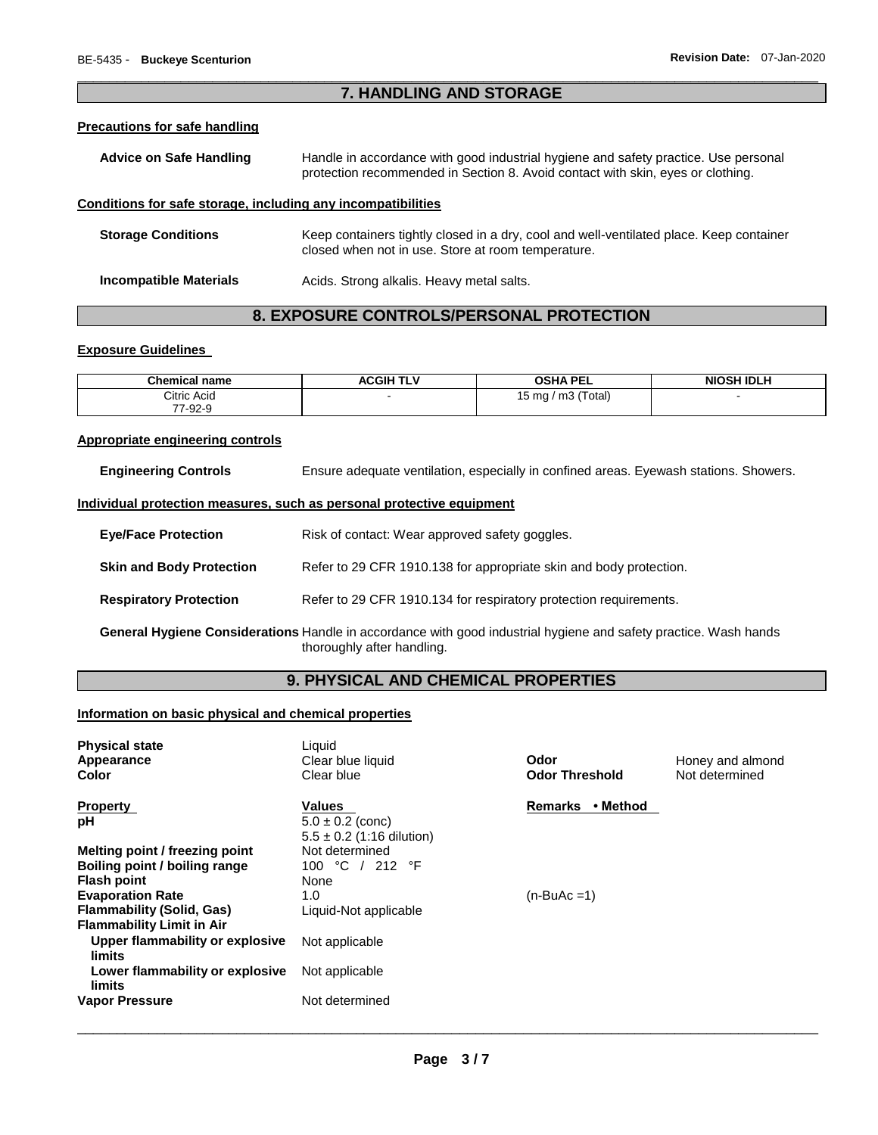### \_\_\_\_\_\_\_\_\_\_\_\_\_\_\_\_\_\_\_\_\_\_\_\_\_\_\_\_\_\_\_\_\_\_\_\_\_\_\_\_\_\_\_\_\_\_\_\_\_\_\_\_\_\_\_\_\_\_\_\_\_\_\_\_\_\_\_\_\_\_\_\_\_\_\_\_\_\_\_\_\_\_\_\_\_\_\_\_\_\_\_\_\_ **7. HANDLING AND STORAGE**

# **Precautions for safe handling**

| <b>Advice on Safe Handling</b>                               | Handle in accordance with good industrial hygiene and safety practice. Use personal<br>protection recommended in Section 8. Avoid contact with skin, eyes or clothing. |  |
|--------------------------------------------------------------|------------------------------------------------------------------------------------------------------------------------------------------------------------------------|--|
| Conditions for safe storage, including any incompatibilities |                                                                                                                                                                        |  |
| <b>Storage Conditions</b>                                    | Keep containers tightly closed in a dry, cool and well-ventilated place. Keep container<br>closed when not in use. Store at room temperature.                          |  |
| <b>Incompatible Materials</b>                                | Acids. Strong alkalis. Heavy metal salts.                                                                                                                              |  |

# **8. EXPOSURE CONTROLS/PERSONAL PROTECTION**

### **Exposure Guidelines**

| <b>Chemical name</b> | <b>ACGIH TLV</b> | <b>OSHA PEL</b>                  | <b>NIOSH IDLH</b> |
|----------------------|------------------|----------------------------------|-------------------|
| Citric Acid          |                  | / m3 (Total)<br>15 <sub>ma</sub> |                   |
| 77 02 0<br>7 Y 2 Y   |                  |                                  |                   |

#### **Appropriate engineering controls**

| <b>Engineering Controls</b> | Ensure adequate ventilation, especially in confined areas. Eyewash stations. Showers. |
|-----------------------------|---------------------------------------------------------------------------------------|
|-----------------------------|---------------------------------------------------------------------------------------|

#### **Individual protection measures, such as personal protective equipment**

| <b>Eye/Face Protection</b>      | Risk of contact: Wear approved safety goggles.                                                                                                 |
|---------------------------------|------------------------------------------------------------------------------------------------------------------------------------------------|
| <b>Skin and Body Protection</b> | Refer to 29 CFR 1910.138 for appropriate skin and body protection.                                                                             |
| <b>Respiratory Protection</b>   | Refer to 29 CFR 1910.134 for respiratory protection requirements.                                                                              |
|                                 | General Hygiene Considerations Handle in accordance with good industrial hygiene and safety practice. Wash hands<br>thoroughly after handling. |

# **9. PHYSICAL AND CHEMICAL PROPERTIES**

# **Information on basic physical and chemical properties**

| <b>Physical state</b><br>Appearance<br>Color | Liquid<br>Clear blue liquid<br>Clear blue             | Odor<br><b>Odor Threshold</b> | Honey and almond<br>Not determined |
|----------------------------------------------|-------------------------------------------------------|-------------------------------|------------------------------------|
| <b>Property</b>                              | <b>Values</b>                                         | • Method<br><b>Remarks</b>    |                                    |
| рH                                           | $5.0 \pm 0.2$ (conc)<br>$5.5 \pm 0.2$ (1:16 dilution) |                               |                                    |
| Melting point / freezing point               | Not determined                                        |                               |                                    |
| Boiling point / boiling range                | 100 °C / 212 °F                                       |                               |                                    |
| <b>Flash point</b>                           | None                                                  |                               |                                    |
| <b>Evaporation Rate</b>                      | 1.0                                                   | $(n-BuAc=1)$                  |                                    |
| Flammability (Solid, Gas)                    | Liquid-Not applicable                                 |                               |                                    |
| <b>Flammability Limit in Air</b>             |                                                       |                               |                                    |
| Upper flammability or explosive<br>limits    | Not applicable                                        |                               |                                    |
| Lower flammability or explosive<br>limits    | Not applicable                                        |                               |                                    |
| <b>Vapor Pressure</b>                        | Not determined                                        |                               |                                    |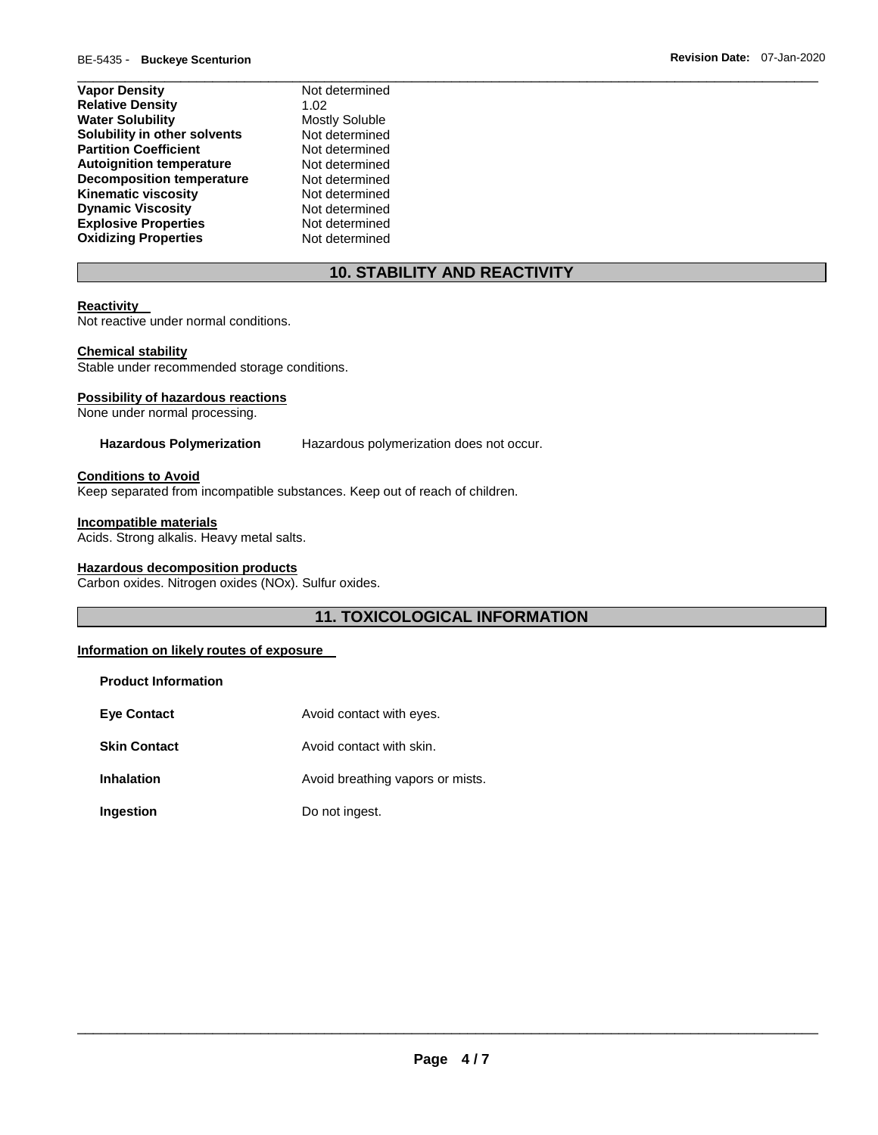| Not determined        |
|-----------------------|
| 1.02                  |
| <b>Mostly Soluble</b> |
| Not determined        |
| Not determined        |
| Not determined        |
| Not determined        |
| Not determined        |
| Not determined        |
| Not determined        |
| Not determined        |
|                       |

# **10. STABILITY AND REACTIVITY**

\_\_\_\_\_\_\_\_\_\_\_\_\_\_\_\_\_\_\_\_\_\_\_\_\_\_\_\_\_\_\_\_\_\_\_\_\_\_\_\_\_\_\_\_\_\_\_\_\_\_\_\_\_\_\_\_\_\_\_\_\_\_\_\_\_\_\_\_\_\_\_\_\_\_\_\_\_\_\_\_\_\_\_\_\_\_\_\_\_\_\_\_\_

#### **Reactivity**

Not reactive under normal conditions.

#### **Chemical stability**

Stable under recommended storage conditions.

#### **Possibility of hazardous reactions**

None under normal processing.

**Hazardous Polymerization** Hazardous polymerization does not occur.

# **Conditions to Avoid**

Keep separated from incompatible substances. Keep out of reach of children.

#### **Incompatible materials**

Acids. Strong alkalis. Heavy metal salts.

#### **Hazardous decomposition products**

Carbon oxides. Nitrogen oxides (NOx). Sulfur oxides.

# **11. TOXICOLOGICAL INFORMATION**

#### **Information on likely routes of exposure**

| <b>Product Information</b> |                                  |
|----------------------------|----------------------------------|
| <b>Eve Contact</b>         | Avoid contact with eyes.         |
| <b>Skin Contact</b>        | Avoid contact with skin.         |
| <b>Inhalation</b>          | Avoid breathing vapors or mists. |
| Ingestion                  | Do not ingest.                   |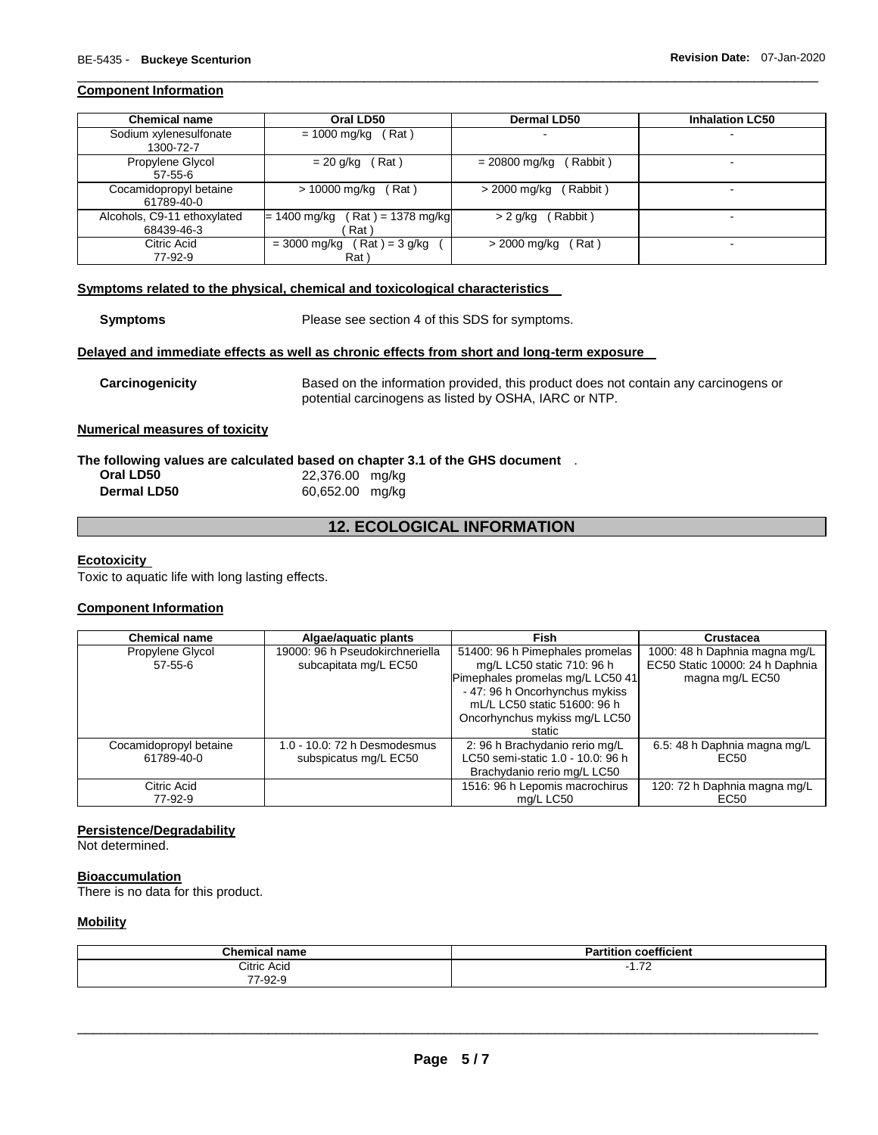#### **Component Information**

| <b>Chemical name</b>                      | Oral LD50                                     | Dermal LD50                | <b>Inhalation LC50</b> |
|-------------------------------------------|-----------------------------------------------|----------------------------|------------------------|
| Sodium xylenesulfonate<br>1300-72-7       | Rat)<br>= 1000 mg/kg                          | $\overline{\phantom{0}}$   | -                      |
| Propylene Glycol<br>$57 - 55 - 6$         | $= 20$ g/kg (Rat)                             | Rabbit)<br>$= 20800$ mg/kg |                        |
| Cocamidopropyl betaine<br>61789-40-0      | > 10000 mg/kg<br>(Rat)                        | > 2000 mg/kg<br>(Rabbit)   | -                      |
| Alcohols, C9-11 ethoxylated<br>68439-46-3 | $(Rat) = 1378$ mg/kg<br>= 1400 mg/kg<br>Rat   | (Rabbit)<br>> 2 g/kg       | $\blacksquare$         |
| Citric Acid<br>77-92-9                    | $($ Rat $)$ = 3 g/kg<br>= 3000 mg/kg<br>Rat \ | (Rat)<br>> 2000 mg/kg      |                        |

\_\_\_\_\_\_\_\_\_\_\_\_\_\_\_\_\_\_\_\_\_\_\_\_\_\_\_\_\_\_\_\_\_\_\_\_\_\_\_\_\_\_\_\_\_\_\_\_\_\_\_\_\_\_\_\_\_\_\_\_\_\_\_\_\_\_\_\_\_\_\_\_\_\_\_\_\_\_\_\_\_\_\_\_\_\_\_\_\_\_\_\_\_

#### **Symptoms related to the physical, chemical and toxicological characteristics**

| <b>Symptoms</b>                       | Please see section 4 of this SDS for symptoms.                                                                                               |
|---------------------------------------|----------------------------------------------------------------------------------------------------------------------------------------------|
|                                       | Delayed and immediate effects as well as chronic effects from short and long-term exposure                                                   |
| Carcinogenicity                       | Based on the information provided, this product does not contain any carcinogens or<br>potential carcinogens as listed by OSHA, IARC or NTP. |
| <b>Numerical measures of toxicity</b> |                                                                                                                                              |

# **The following values are calculated based on chapter 3.1 of the GHS document** .

| Oral LD50          | 22,376.00 mg/kg |
|--------------------|-----------------|
| <b>Dermal LD50</b> | 60,652.00 mg/kg |

# **12. ECOLOGICAL INFORMATION**

#### **Ecotoxicity**

Toxic to aquatic life with long lasting effects.

# **Component Information**

| <b>Chemical name</b>                 | Algae/aguatic plants                                     | Fish                                                                                                                                                                                                 | Crustacea                                                                           |
|--------------------------------------|----------------------------------------------------------|------------------------------------------------------------------------------------------------------------------------------------------------------------------------------------------------------|-------------------------------------------------------------------------------------|
| Propylene Glycol<br>$57 - 55 - 6$    | 19000: 96 h Pseudokirchneriella<br>subcapitata mg/L EC50 | 51400: 96 h Pimephales promelas<br>mg/L LC50 static 710: 96 h<br>Pimephales promelas mg/L LC50 41<br>- 47: 96 h Oncorhynchus mykiss<br>mL/L LC50 static 51600: 96 h<br>Oncorhynchus mykiss mg/L LC50 | 1000: 48 h Daphnia magna mg/L<br>EC50 Static 10000: 24 h Daphnia<br>magna mg/L EC50 |
| Cocamidopropyl betaine<br>61789-40-0 | 1.0 - 10.0: 72 h Desmodesmus<br>subspicatus mg/L EC50    | static<br>2: 96 h Brachydanio rerio mg/L<br>LC50 semi-static 1.0 - 10.0: 96 h<br>Brachydanio rerio mg/L LC50                                                                                         | 6.5: 48 h Daphnia magna mg/L<br>EC <sub>50</sub>                                    |
| Citric Acid<br>77-92-9               |                                                          | 1516: 96 h Lepomis macrochirus<br>mg/L LC50                                                                                                                                                          | 120: 72 h Daphnia magna mg/L<br>EC50                                                |

# **Persistence/Degradability**

Not determined.

### **Bioaccumulation**

There is no data for this product.

# **Mobility**

| $^{\circ}$ hem.<br>name | $- - -$                                    |
|-------------------------|--------------------------------------------|
| <b>Citric Acid</b><br>. | $\overline{\phantom{a}}$<br>. . <i>.</i> 4 |
| $\sim$<br>ി∹ാ∠-`        |                                            |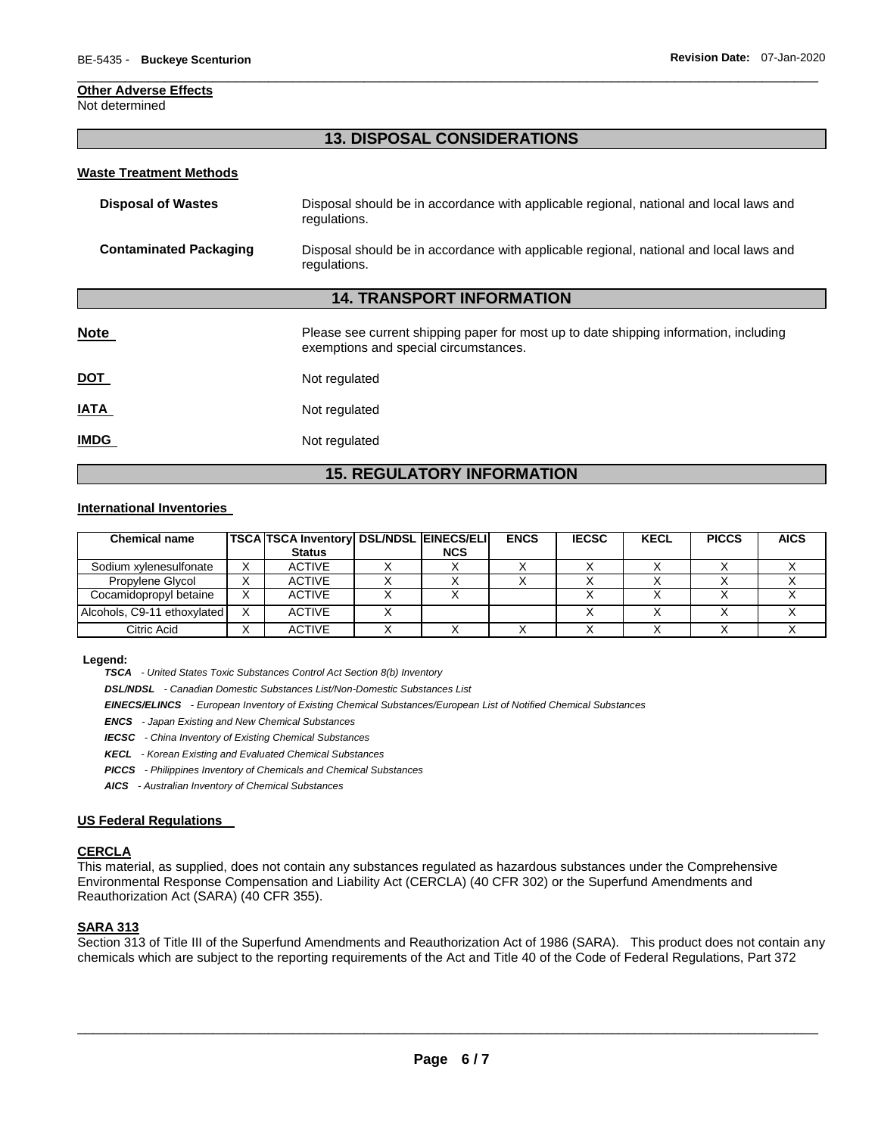#### **Other Adverse Effects**

Not determined

# **13. DISPOSAL CONSIDERATIONS**

\_\_\_\_\_\_\_\_\_\_\_\_\_\_\_\_\_\_\_\_\_\_\_\_\_\_\_\_\_\_\_\_\_\_\_\_\_\_\_\_\_\_\_\_\_\_\_\_\_\_\_\_\_\_\_\_\_\_\_\_\_\_\_\_\_\_\_\_\_\_\_\_\_\_\_\_\_\_\_\_\_\_\_\_\_\_\_\_\_\_\_\_\_

#### **Waste Treatment Methods**

| Disposal of Wastes     | Disposal should be in accordance with applicable regional, national and local laws and<br>regulations. |
|------------------------|--------------------------------------------------------------------------------------------------------|
| Contaminated Packaging | Disposal should be in accordance with applicable regional, national and local laws and<br>regulations. |

#### **14. TRANSPORT INFORMATION**

| <b>Note</b> | Please see current shipping paper for most up to date shipping information, including<br>exemptions and special circumstances. |
|-------------|--------------------------------------------------------------------------------------------------------------------------------|
| <u>DOT</u>  | Not regulated                                                                                                                  |
| <b>IATA</b> | Not regulated                                                                                                                  |
| <b>IMDG</b> | Not regulated                                                                                                                  |

# **15. REGULATORY INFORMATION**

#### **International Inventories**

| <b>Chemical name</b>        | TSCA TSCA Inventory DSL/NDSL EINECS/ELI |            | <b>ENCS</b> | <b>IECSC</b> | <b>KECL</b> | <b>PICCS</b> | <b>AICS</b> |
|-----------------------------|-----------------------------------------|------------|-------------|--------------|-------------|--------------|-------------|
|                             | <b>Status</b>                           | <b>NCS</b> |             |              |             |              |             |
| Sodium xvlenesulfonate      | <b>ACTIVE</b>                           |            |             |              |             |              |             |
| Propylene Glycol            | <b>ACTIVE</b>                           |            |             |              |             |              |             |
| Cocamidopropyl betaine      | <b>ACTIVE</b>                           |            |             |              |             |              |             |
| Alcohols, C9-11 ethoxylated | <b>ACTIVE</b>                           |            |             |              |             |              |             |
| Citric Acid                 | <b>ACTIVE</b>                           |            |             |              |             |              |             |

#### **Legend:**

*TSCA - United States Toxic Substances Control Act Section 8(b) Inventory* 

*DSL/NDSL - Canadian Domestic Substances List/Non-Domestic Substances List* 

*EINECS/ELINCS - European Inventory of Existing Chemical Substances/European List of Notified Chemical Substances* 

- *ENCS - Japan Existing and New Chemical Substances*
- *IECSC - China Inventory of Existing Chemical Substances*
- *KECL - Korean Existing and Evaluated Chemical Substances*
- *PICCS - Philippines Inventory of Chemicals and Chemical Substances*
- *AICS - Australian Inventory of Chemical Substances*

#### **US Federal Regulations**

#### **CERCLA**

This material, as supplied, does not contain any substances regulated as hazardous substances under the Comprehensive Environmental Response Compensation and Liability Act (CERCLA) (40 CFR 302) or the Superfund Amendments and Reauthorization Act (SARA) (40 CFR 355).

#### **SARA 313**

Section 313 of Title III of the Superfund Amendments and Reauthorization Act of 1986 (SARA). This product does not contain any chemicals which are subject to the reporting requirements of the Act and Title 40 of the Code of Federal Regulations, Part 372